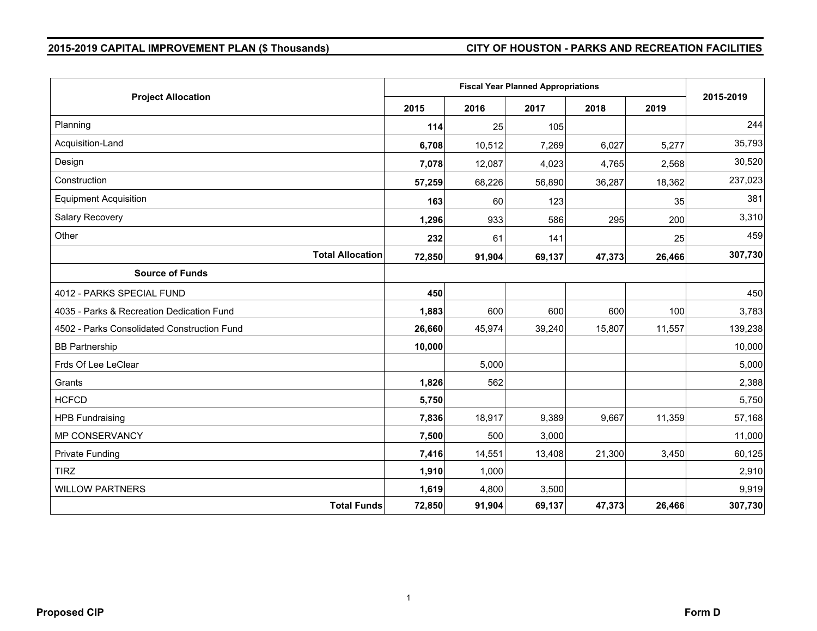# **2015-2019 CAPITAL IMPROVEMENT PLAN (\$ Thousands) CITY OF HOUSTON - PARKS AND RECREATION FACILITIES**

| <b>Project Allocation</b>                   |        |        | <b>Fiscal Year Planned Appropriations</b> |        |        | 2015-2019 |
|---------------------------------------------|--------|--------|-------------------------------------------|--------|--------|-----------|
|                                             | 2015   | 2016   | 2017                                      | 2018   | 2019   |           |
| Planning                                    | 114    | 25     | 105                                       |        |        | 244       |
| Acquisition-Land                            | 6,708  | 10,512 | 7,269                                     | 6,027  | 5,277  | 35,793    |
| Design                                      | 7,078  | 12,087 | 4,023                                     | 4,765  | 2,568  | 30,520    |
| Construction                                | 57,259 | 68,226 | 56,890                                    | 36,287 | 18,362 | 237,023   |
| <b>Equipment Acquisition</b>                | 163    | 60     | 123                                       |        | 35     | 381       |
| Salary Recovery                             | 1,296  | 933    | 586                                       | 295    | 200    | 3,310     |
| Other                                       | 232    | 61     | 141                                       |        | 25     | 459       |
| <b>Total Allocation</b>                     | 72,850 | 91,904 | 69,137                                    | 47,373 | 26,466 | 307,730   |
| <b>Source of Funds</b>                      |        |        |                                           |        |        |           |
| 4012 - PARKS SPECIAL FUND                   | 450    |        |                                           |        |        | 450       |
| 4035 - Parks & Recreation Dedication Fund   | 1,883  | 600    | 600                                       | 600    | 100    | 3,783     |
| 4502 - Parks Consolidated Construction Fund | 26,660 | 45,974 | 39,240                                    | 15,807 | 11,557 | 139,238   |
| <b>BB Partnership</b>                       | 10,000 |        |                                           |        |        | 10,000    |
| Frds Of Lee LeClear                         |        | 5,000  |                                           |        |        | 5,000     |
| Grants                                      | 1,826  | 562    |                                           |        |        | 2,388     |
| <b>HCFCD</b>                                | 5,750  |        |                                           |        |        | 5,750     |
| <b>HPB Fundraising</b>                      | 7,836  | 18,917 | 9,389                                     | 9,667  | 11,359 | 57,168    |
| MP CONSERVANCY                              | 7,500  | 500    | 3,000                                     |        |        | 11,000    |
| <b>Private Funding</b>                      | 7,416  | 14,551 | 13,408                                    | 21,300 | 3,450  | 60,125    |
| <b>TIRZ</b>                                 | 1,910  | 1,000  |                                           |        |        | 2,910     |
| <b>WILLOW PARTNERS</b>                      | 1,619  | 4,800  | 3,500                                     |        |        | 9,919     |
| <b>Total Funds</b>                          | 72,850 | 91,904 | 69,137                                    | 47,373 | 26,466 | 307,730   |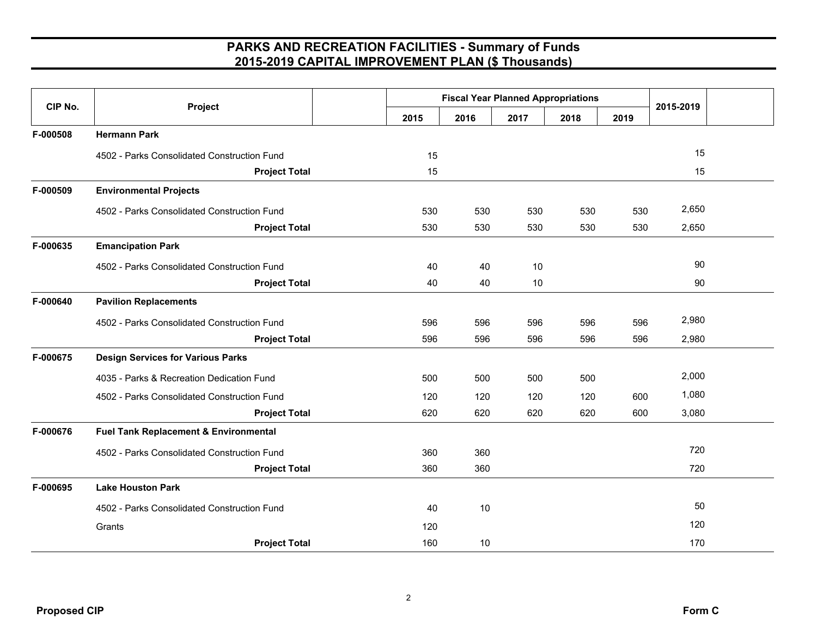| CIP No.  |                                             |      | <b>Fiscal Year Planned Appropriations</b> |      |      |      | 2015-2019 |
|----------|---------------------------------------------|------|-------------------------------------------|------|------|------|-----------|
|          | Project                                     | 2015 | 2016                                      | 2017 | 2018 | 2019 |           |
| F-000508 | <b>Hermann Park</b>                         |      |                                           |      |      |      |           |
|          | 4502 - Parks Consolidated Construction Fund | 15   |                                           |      |      |      | 15        |
|          | <b>Project Total</b>                        | 15   |                                           |      |      |      | 15        |
| F-000509 | <b>Environmental Projects</b>               |      |                                           |      |      |      |           |
|          | 4502 - Parks Consolidated Construction Fund | 530  | 530                                       | 530  | 530  | 530  | 2,650     |
|          | <b>Project Total</b>                        | 530  | 530                                       | 530  | 530  | 530  | 2,650     |
| F-000635 | <b>Emancipation Park</b>                    |      |                                           |      |      |      |           |
|          | 4502 - Parks Consolidated Construction Fund | 40   | 40                                        | 10   |      |      | 90        |
|          | <b>Project Total</b>                        | 40   | 40                                        | 10   |      |      | 90        |
| F-000640 | <b>Pavilion Replacements</b>                |      |                                           |      |      |      |           |
|          | 4502 - Parks Consolidated Construction Fund | 596  | 596                                       | 596  | 596  | 596  | 2,980     |
|          | <b>Project Total</b>                        | 596  | 596                                       | 596  | 596  | 596  | 2,980     |
| F-000675 | <b>Design Services for Various Parks</b>    |      |                                           |      |      |      |           |
|          | 4035 - Parks & Recreation Dedication Fund   | 500  | 500                                       | 500  | 500  |      | 2,000     |
|          | 4502 - Parks Consolidated Construction Fund | 120  | 120                                       | 120  | 120  | 600  | 1,080     |
|          | <b>Project Total</b>                        | 620  | 620                                       | 620  | 620  | 600  | 3,080     |
| F-000676 | Fuel Tank Replacement & Environmental       |      |                                           |      |      |      |           |
|          | 4502 - Parks Consolidated Construction Fund | 360  | 360                                       |      |      |      | 720       |
|          | <b>Project Total</b>                        | 360  | 360                                       |      |      |      | 720       |
| F-000695 | <b>Lake Houston Park</b>                    |      |                                           |      |      |      |           |
|          | 4502 - Parks Consolidated Construction Fund | 40   | 10                                        |      |      |      | 50        |
|          | Grants                                      | 120  |                                           |      |      |      | 120       |
|          | <b>Project Total</b>                        | 160  | 10                                        |      |      |      | 170       |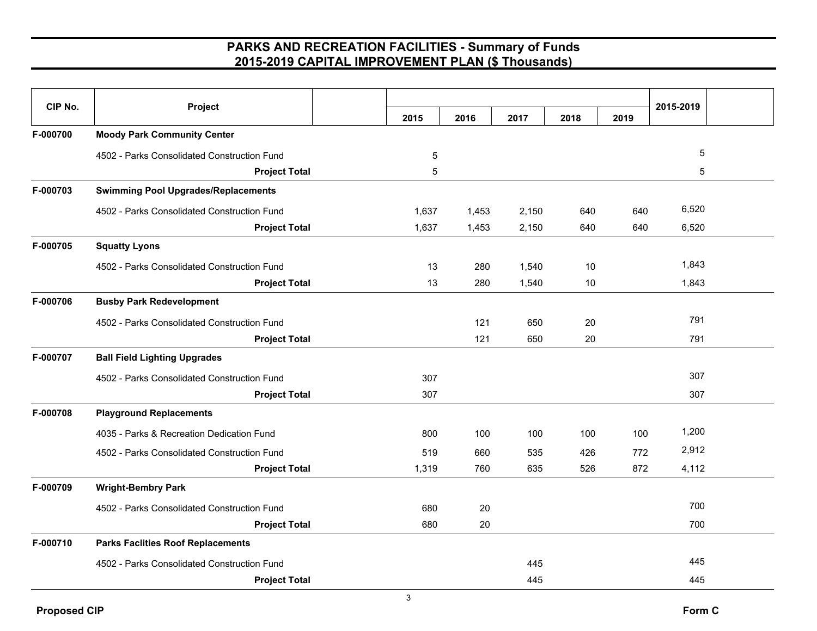| CIP No.  | Project                                     |       |       |       |      |      | 2015-2019   |  |
|----------|---------------------------------------------|-------|-------|-------|------|------|-------------|--|
|          |                                             | 2015  | 2016  | 2017  | 2018 | 2019 |             |  |
| F-000700 | <b>Moody Park Community Center</b>          |       |       |       |      |      |             |  |
|          | 4502 - Parks Consolidated Construction Fund | 5     |       |       |      |      | $\,$ 5 $\,$ |  |
|          | <b>Project Total</b>                        | 5     |       |       |      |      | 5           |  |
| F-000703 | <b>Swimming Pool Upgrades/Replacements</b>  |       |       |       |      |      |             |  |
|          | 4502 - Parks Consolidated Construction Fund | 1,637 | 1,453 | 2,150 | 640  | 640  | 6,520       |  |
|          | <b>Project Total</b>                        | 1,637 | 1,453 | 2,150 | 640  | 640  | 6,520       |  |
| F-000705 | <b>Squatty Lyons</b>                        |       |       |       |      |      |             |  |
|          | 4502 - Parks Consolidated Construction Fund | 13    | 280   | 1,540 | 10   |      | 1,843       |  |
|          | <b>Project Total</b>                        | 13    | 280   | 1,540 | 10   |      | 1,843       |  |
| F-000706 | <b>Busby Park Redevelopment</b>             |       |       |       |      |      |             |  |
|          | 4502 - Parks Consolidated Construction Fund |       | 121   | 650   | 20   |      | 791         |  |
|          | <b>Project Total</b>                        |       | 121   | 650   | 20   |      | 791         |  |
| F-000707 | <b>Ball Field Lighting Upgrades</b>         |       |       |       |      |      |             |  |
|          | 4502 - Parks Consolidated Construction Fund | 307   |       |       |      |      | 307         |  |
|          | <b>Project Total</b>                        | 307   |       |       |      |      | 307         |  |
| F-000708 | <b>Playground Replacements</b>              |       |       |       |      |      |             |  |
|          | 4035 - Parks & Recreation Dedication Fund   | 800   | 100   | 100   | 100  | 100  | 1,200       |  |
|          | 4502 - Parks Consolidated Construction Fund | 519   | 660   | 535   | 426  | 772  | 2,912       |  |
|          | <b>Project Total</b>                        | 1,319 | 760   | 635   | 526  | 872  | 4,112       |  |
| F-000709 | <b>Wright-Bembry Park</b>                   |       |       |       |      |      |             |  |
|          | 4502 - Parks Consolidated Construction Fund | 680   | 20    |       |      |      | 700         |  |
|          | <b>Project Total</b>                        | 680   | 20    |       |      |      | 700         |  |
| F-000710 | <b>Parks Faclities Roof Replacements</b>    |       |       |       |      |      |             |  |
|          | 4502 - Parks Consolidated Construction Fund |       |       | 445   |      |      | 445         |  |
|          | <b>Project Total</b>                        |       |       | 445   |      |      | 445         |  |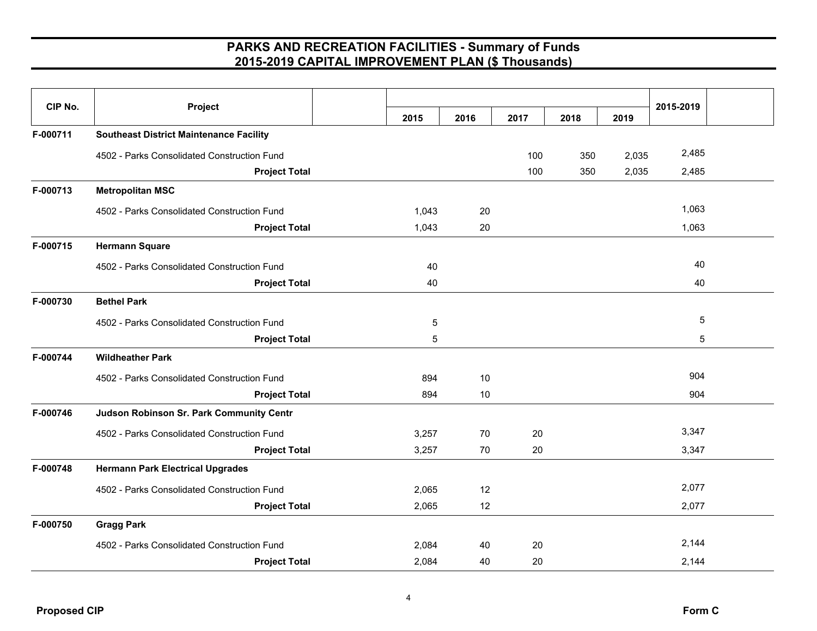| CIP No.  | Project                                        |       |      |      |      |       | 2015-2019 |  |
|----------|------------------------------------------------|-------|------|------|------|-------|-----------|--|
|          |                                                | 2015  | 2016 | 2017 | 2018 | 2019  |           |  |
| F-000711 | <b>Southeast District Maintenance Facility</b> |       |      |      |      |       |           |  |
|          | 4502 - Parks Consolidated Construction Fund    |       |      | 100  | 350  | 2,035 | 2,485     |  |
|          | <b>Project Total</b>                           |       |      | 100  | 350  | 2,035 | 2,485     |  |
| F-000713 | <b>Metropolitan MSC</b>                        |       |      |      |      |       |           |  |
|          | 4502 - Parks Consolidated Construction Fund    | 1,043 | 20   |      |      |       | 1,063     |  |
|          | <b>Project Total</b>                           | 1,043 | 20   |      |      |       | 1,063     |  |
| F-000715 | <b>Hermann Square</b>                          |       |      |      |      |       |           |  |
|          | 4502 - Parks Consolidated Construction Fund    | 40    |      |      |      |       | 40        |  |
|          | <b>Project Total</b>                           | 40    |      |      |      |       | 40        |  |
| F-000730 | <b>Bethel Park</b>                             |       |      |      |      |       |           |  |
|          | 4502 - Parks Consolidated Construction Fund    | 5     |      |      |      |       | 5         |  |
|          | <b>Project Total</b>                           | 5     |      |      |      |       | 5         |  |
| F-000744 | <b>Wildheather Park</b>                        |       |      |      |      |       |           |  |
|          | 4502 - Parks Consolidated Construction Fund    | 894   | 10   |      |      |       | 904       |  |
|          | <b>Project Total</b>                           | 894   | 10   |      |      |       | 904       |  |
| F-000746 | Judson Robinson Sr. Park Community Centr       |       |      |      |      |       |           |  |
|          | 4502 - Parks Consolidated Construction Fund    | 3,257 | 70   | 20   |      |       | 3,347     |  |
|          | <b>Project Total</b>                           | 3,257 | 70   | 20   |      |       | 3,347     |  |
| F-000748 | <b>Hermann Park Electrical Upgrades</b>        |       |      |      |      |       |           |  |
|          | 4502 - Parks Consolidated Construction Fund    | 2,065 | 12   |      |      |       | 2,077     |  |
|          | <b>Project Total</b>                           | 2,065 | 12   |      |      |       | 2,077     |  |
| F-000750 | <b>Gragg Park</b>                              |       |      |      |      |       |           |  |
|          | 4502 - Parks Consolidated Construction Fund    | 2,084 | 40   | 20   |      |       | 2,144     |  |
|          | <b>Project Total</b>                           | 2,084 | 40   | 20   |      |       | 2,144     |  |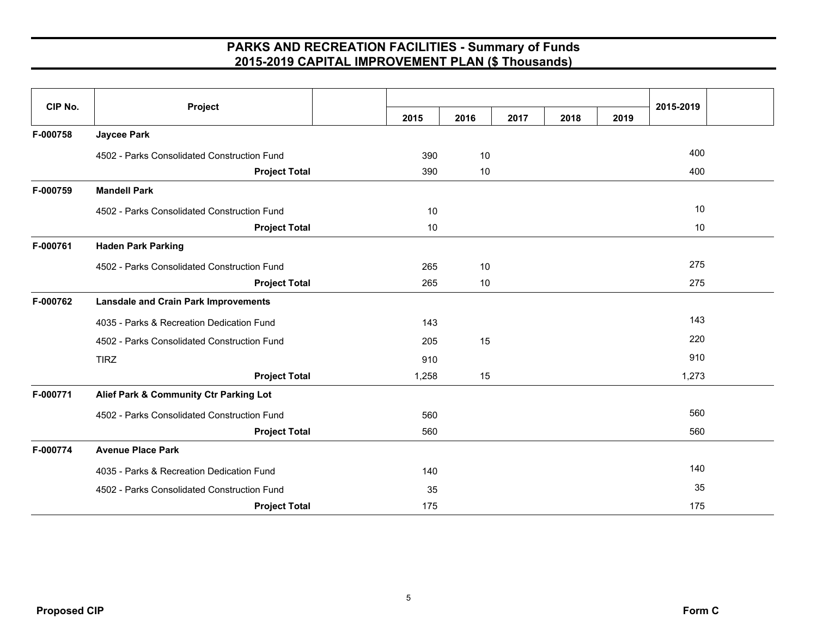| CIP No.  | Project                                     |       |      |      |      |      | 2015-2019 |  |
|----------|---------------------------------------------|-------|------|------|------|------|-----------|--|
|          |                                             | 2015  | 2016 | 2017 | 2018 | 2019 |           |  |
| F-000758 | <b>Jaycee Park</b>                          |       |      |      |      |      |           |  |
|          | 4502 - Parks Consolidated Construction Fund | 390   | 10   |      |      |      | 400       |  |
|          | <b>Project Total</b>                        | 390   | 10   |      |      |      | 400       |  |
| F-000759 | <b>Mandell Park</b>                         |       |      |      |      |      |           |  |
|          | 4502 - Parks Consolidated Construction Fund | 10    |      |      |      |      | 10        |  |
|          | <b>Project Total</b>                        | 10    |      |      |      |      | 10        |  |
| F-000761 | <b>Haden Park Parking</b>                   |       |      |      |      |      |           |  |
|          | 4502 - Parks Consolidated Construction Fund | 265   | 10   |      |      |      | 275       |  |
|          | <b>Project Total</b>                        | 265   | 10   |      |      |      | 275       |  |
| F-000762 | <b>Lansdale and Crain Park Improvements</b> |       |      |      |      |      |           |  |
|          | 4035 - Parks & Recreation Dedication Fund   | 143   |      |      |      |      | 143       |  |
|          | 4502 - Parks Consolidated Construction Fund | 205   | 15   |      |      |      | 220       |  |
|          | <b>TIRZ</b>                                 | 910   |      |      |      |      | 910       |  |
|          | <b>Project Total</b>                        | 1,258 | 15   |      |      |      | 1,273     |  |
| F-000771 | Alief Park & Community Ctr Parking Lot      |       |      |      |      |      |           |  |
|          | 4502 - Parks Consolidated Construction Fund | 560   |      |      |      |      | 560       |  |
|          | <b>Project Total</b>                        | 560   |      |      |      |      | 560       |  |
| F-000774 | <b>Avenue Place Park</b>                    |       |      |      |      |      |           |  |
|          | 4035 - Parks & Recreation Dedication Fund   | 140   |      |      |      |      | 140       |  |
|          | 4502 - Parks Consolidated Construction Fund | 35    |      |      |      |      | 35        |  |
|          | <b>Project Total</b>                        | 175   |      |      |      |      | 175       |  |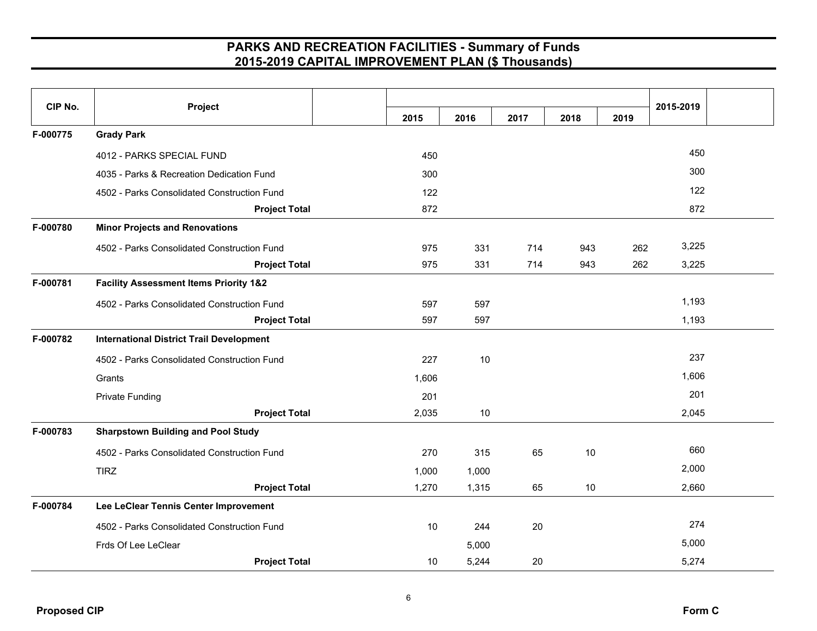| CIP No.  | Project                                           | 2015  | 2016  | 2017 | 2018 | 2019 | 2015-2019 |  |
|----------|---------------------------------------------------|-------|-------|------|------|------|-----------|--|
| F-000775 | <b>Grady Park</b>                                 |       |       |      |      |      |           |  |
|          | 4012 - PARKS SPECIAL FUND                         | 450   |       |      |      |      | 450       |  |
|          | 4035 - Parks & Recreation Dedication Fund         | 300   |       |      |      |      | 300       |  |
|          | 4502 - Parks Consolidated Construction Fund       | 122   |       |      |      |      | 122       |  |
|          | <b>Project Total</b>                              | 872   |       |      |      |      | 872       |  |
| F-000780 | <b>Minor Projects and Renovations</b>             |       |       |      |      |      |           |  |
|          | 4502 - Parks Consolidated Construction Fund       | 975   | 331   | 714  | 943  | 262  | 3,225     |  |
|          | <b>Project Total</b>                              | 975   | 331   | 714  | 943  | 262  | 3,225     |  |
| F-000781 | <b>Facility Assessment Items Priority 1&amp;2</b> |       |       |      |      |      |           |  |
|          | 4502 - Parks Consolidated Construction Fund       | 597   | 597   |      |      |      | 1,193     |  |
|          | <b>Project Total</b>                              | 597   | 597   |      |      |      | 1,193     |  |
| F-000782 | <b>International District Trail Development</b>   |       |       |      |      |      |           |  |
|          | 4502 - Parks Consolidated Construction Fund       | 227   | 10    |      |      |      | 237       |  |
|          | Grants                                            | 1,606 |       |      |      |      | 1,606     |  |
|          | <b>Private Funding</b>                            | 201   |       |      |      |      | 201       |  |
|          | <b>Project Total</b>                              | 2,035 | 10    |      |      |      | 2,045     |  |
| F-000783 | <b>Sharpstown Building and Pool Study</b>         |       |       |      |      |      |           |  |
|          | 4502 - Parks Consolidated Construction Fund       | 270   | 315   | 65   | 10   |      | 660       |  |
|          | <b>TIRZ</b>                                       | 1,000 | 1,000 |      |      |      | 2,000     |  |
|          | <b>Project Total</b>                              | 1,270 | 1,315 | 65   | 10   |      | 2,660     |  |
| F-000784 | Lee LeClear Tennis Center Improvement             |       |       |      |      |      |           |  |
|          | 4502 - Parks Consolidated Construction Fund       | 10    | 244   | 20   |      |      | 274       |  |
|          | Frds Of Lee LeClear                               |       | 5,000 |      |      |      | 5,000     |  |
|          | <b>Project Total</b>                              | 10    | 5,244 | 20   |      |      | 5,274     |  |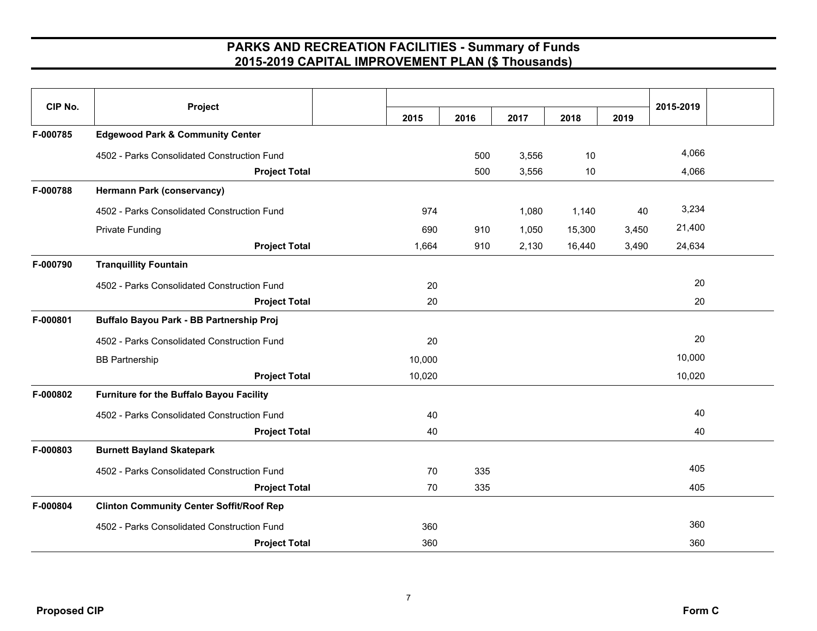| CIP No.  | Project                                         | 2015   | 2016 | 2017  | 2018   | 2019  | 2015-2019 |  |
|----------|-------------------------------------------------|--------|------|-------|--------|-------|-----------|--|
| F-000785 | <b>Edgewood Park &amp; Community Center</b>     |        |      |       |        |       |           |  |
|          | 4502 - Parks Consolidated Construction Fund     |        | 500  | 3,556 | 10     |       | 4,066     |  |
|          | <b>Project Total</b>                            |        | 500  | 3,556 | 10     |       | 4,066     |  |
| F-000788 | <b>Hermann Park (conservancy)</b>               |        |      |       |        |       |           |  |
|          | 4502 - Parks Consolidated Construction Fund     | 974    |      | 1,080 | 1,140  | 40    | 3,234     |  |
|          | <b>Private Funding</b>                          | 690    | 910  | 1,050 | 15,300 | 3,450 | 21,400    |  |
|          | <b>Project Total</b>                            | 1,664  | 910  | 2,130 | 16,440 | 3,490 | 24,634    |  |
| F-000790 | <b>Tranquillity Fountain</b>                    |        |      |       |        |       |           |  |
|          | 4502 - Parks Consolidated Construction Fund     | 20     |      |       |        |       | 20        |  |
|          | <b>Project Total</b>                            | 20     |      |       |        |       | 20        |  |
| F-000801 | Buffalo Bayou Park - BB Partnership Proj        |        |      |       |        |       |           |  |
|          | 4502 - Parks Consolidated Construction Fund     | 20     |      |       |        |       | 20        |  |
|          | <b>BB Partnership</b>                           | 10,000 |      |       |        |       | 10,000    |  |
|          | <b>Project Total</b>                            | 10,020 |      |       |        |       | 10,020    |  |
| F-000802 | Furniture for the Buffalo Bayou Facility        |        |      |       |        |       |           |  |
|          | 4502 - Parks Consolidated Construction Fund     | 40     |      |       |        |       | 40        |  |
|          | <b>Project Total</b>                            | 40     |      |       |        |       | 40        |  |
| F-000803 | <b>Burnett Bayland Skatepark</b>                |        |      |       |        |       |           |  |
|          | 4502 - Parks Consolidated Construction Fund     | 70     | 335  |       |        |       | 405       |  |
|          | <b>Project Total</b>                            | 70     | 335  |       |        |       | 405       |  |
| F-000804 | <b>Clinton Community Center Soffit/Roof Rep</b> |        |      |       |        |       |           |  |
|          | 4502 - Parks Consolidated Construction Fund     | 360    |      |       |        |       | 360       |  |
|          | <b>Project Total</b>                            | 360    |      |       |        |       | 360       |  |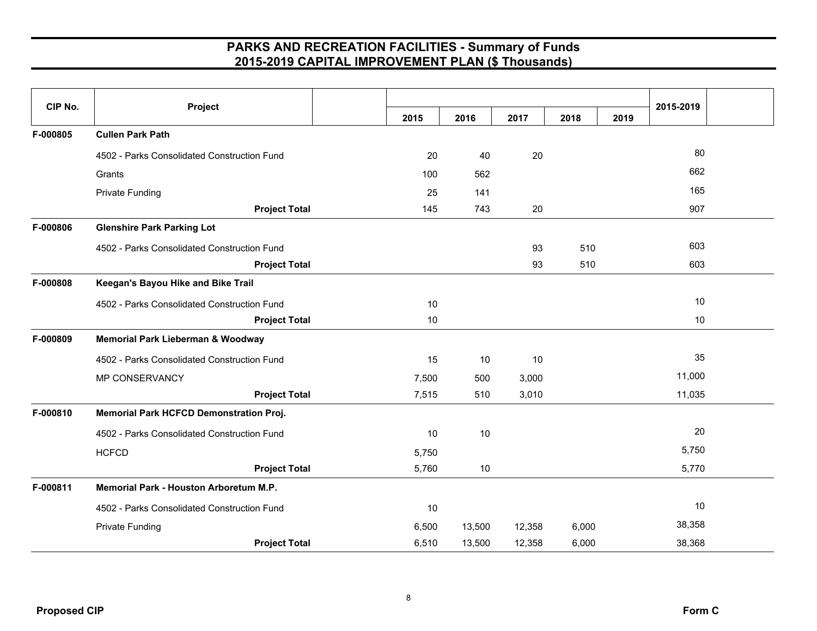| CIP No.  | Project                                     |       |        |        |       |      | 2015-2019 |  |
|----------|---------------------------------------------|-------|--------|--------|-------|------|-----------|--|
|          |                                             | 2015  | 2016   | 2017   | 2018  | 2019 |           |  |
| F-000805 | <b>Cullen Park Path</b>                     |       |        |        |       |      |           |  |
|          | 4502 - Parks Consolidated Construction Fund | 20    | 40     | 20     |       |      | 80        |  |
|          | Grants                                      | 100   | 562    |        |       |      | 662       |  |
|          | <b>Private Funding</b>                      | 25    | 141    |        |       |      | 165       |  |
|          | <b>Project Total</b>                        | 145   | 743    | 20     |       |      | 907       |  |
| F-000806 | <b>Glenshire Park Parking Lot</b>           |       |        |        |       |      |           |  |
|          | 4502 - Parks Consolidated Construction Fund |       |        | 93     | 510   |      | 603       |  |
|          | <b>Project Total</b>                        |       |        | 93     | 510   |      | 603       |  |
| F-000808 | Keegan's Bayou Hike and Bike Trail          |       |        |        |       |      |           |  |
|          | 4502 - Parks Consolidated Construction Fund | 10    |        |        |       |      | 10        |  |
|          | <b>Project Total</b>                        | 10    |        |        |       |      | 10        |  |
| F-000809 | Memorial Park Lieberman & Woodway           |       |        |        |       |      |           |  |
|          | 4502 - Parks Consolidated Construction Fund | 15    | 10     | 10     |       |      | 35        |  |
|          | MP CONSERVANCY                              | 7,500 | 500    | 3,000  |       |      | 11,000    |  |
|          | <b>Project Total</b>                        | 7,515 | 510    | 3,010  |       |      | 11,035    |  |
| F-000810 | Memorial Park HCFCD Demonstration Proj.     |       |        |        |       |      |           |  |
|          | 4502 - Parks Consolidated Construction Fund | 10    | 10     |        |       |      | 20        |  |
|          | <b>HCFCD</b>                                | 5,750 |        |        |       |      | 5,750     |  |
|          | <b>Project Total</b>                        | 5,760 | 10     |        |       |      | 5,770     |  |
| F-000811 | Memorial Park - Houston Arboretum M.P.      |       |        |        |       |      |           |  |
|          | 4502 - Parks Consolidated Construction Fund | $10$  |        |        |       |      | 10        |  |
|          | <b>Private Funding</b>                      | 6,500 | 13,500 | 12,358 | 6,000 |      | 38,358    |  |
|          | <b>Project Total</b>                        | 6,510 | 13,500 | 12,358 | 6,000 |      | 38,368    |  |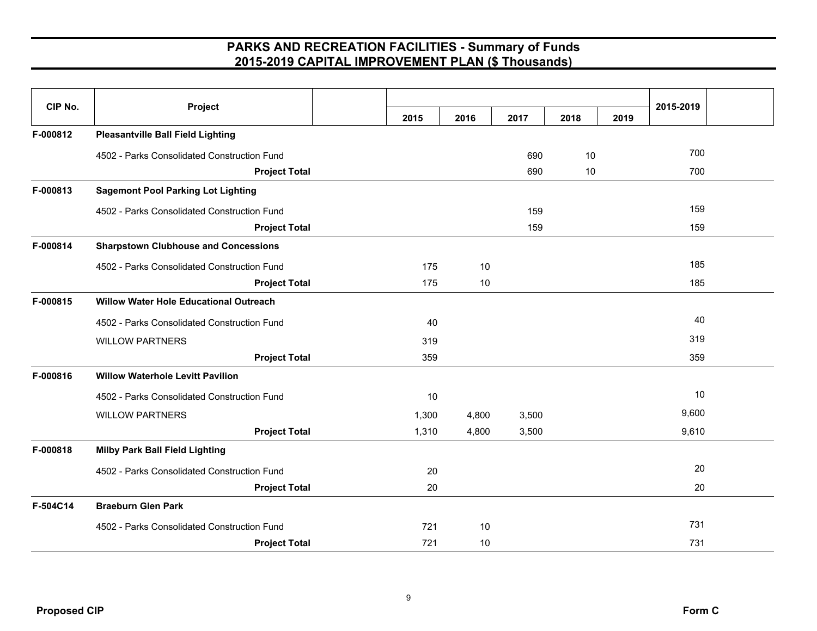| CIP No.  | Project                                       | 2015  | 2016  | 2017  | 2018 | 2019 | 2015-2019 |
|----------|-----------------------------------------------|-------|-------|-------|------|------|-----------|
| F-000812 | <b>Pleasantville Ball Field Lighting</b>      |       |       |       |      |      |           |
|          | 4502 - Parks Consolidated Construction Fund   |       |       | 690   | 10   |      | 700       |
|          | <b>Project Total</b>                          |       |       | 690   | 10   |      | 700       |
| F-000813 | <b>Sagemont Pool Parking Lot Lighting</b>     |       |       |       |      |      |           |
|          |                                               |       |       |       |      |      | 159       |
|          | 4502 - Parks Consolidated Construction Fund   |       |       | 159   |      |      |           |
|          | <b>Project Total</b>                          |       |       | 159   |      |      | 159       |
| F-000814 | <b>Sharpstown Clubhouse and Concessions</b>   |       |       |       |      |      |           |
|          | 4502 - Parks Consolidated Construction Fund   | 175   | 10    |       |      |      | 185       |
|          | <b>Project Total</b>                          | 175   | 10    |       |      |      | 185       |
| F-000815 | <b>Willow Water Hole Educational Outreach</b> |       |       |       |      |      |           |
|          | 4502 - Parks Consolidated Construction Fund   | 40    |       |       |      |      | 40        |
|          | <b>WILLOW PARTNERS</b>                        | 319   |       |       |      |      | 319       |
|          | <b>Project Total</b>                          | 359   |       |       |      |      | 359       |
| F-000816 | <b>Willow Waterhole Levitt Pavilion</b>       |       |       |       |      |      |           |
|          | 4502 - Parks Consolidated Construction Fund   | 10    |       |       |      |      | 10        |
|          | <b>WILLOW PARTNERS</b>                        | 1,300 | 4,800 | 3,500 |      |      | 9,600     |
|          | <b>Project Total</b>                          | 1,310 | 4,800 | 3,500 |      |      | 9,610     |
| F-000818 | <b>Milby Park Ball Field Lighting</b>         |       |       |       |      |      |           |
|          | 4502 - Parks Consolidated Construction Fund   | 20    |       |       |      |      | 20        |
|          | <b>Project Total</b>                          | 20    |       |       |      |      | 20        |
| F-504C14 | <b>Braeburn Glen Park</b>                     |       |       |       |      |      |           |
|          | 4502 - Parks Consolidated Construction Fund   | 721   | 10    |       |      |      | 731       |
|          | <b>Project Total</b>                          | 721   | 10    |       |      |      | 731       |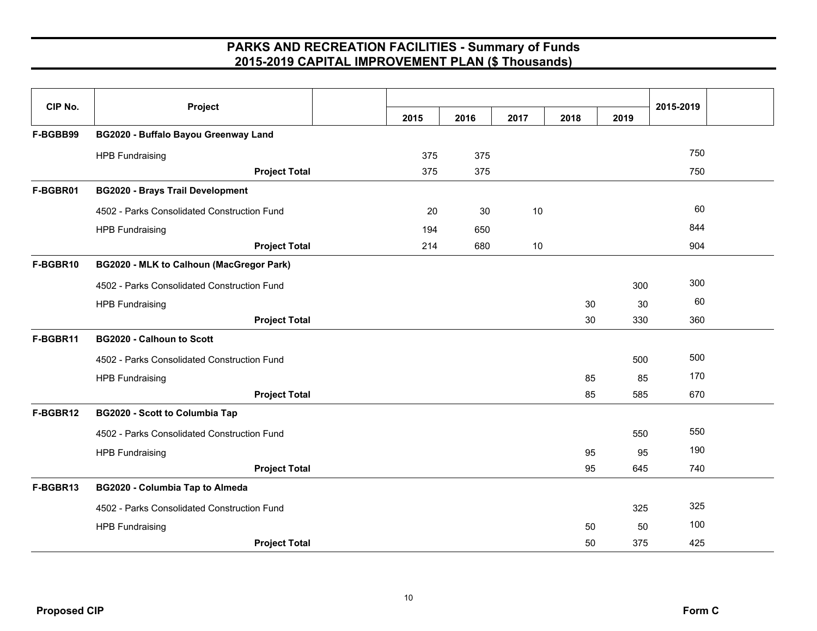| CIP No.  | Project                                     | 2015 | 2016 | 2017 | 2018 | 2019 | 2015-2019 |  |
|----------|---------------------------------------------|------|------|------|------|------|-----------|--|
| F-BGBB99 | BG2020 - Buffalo Bayou Greenway Land        |      |      |      |      |      |           |  |
|          | <b>HPB Fundraising</b>                      | 375  | 375  |      |      |      | 750       |  |
|          | <b>Project Total</b>                        | 375  | 375  |      |      |      | 750       |  |
| F-BGBR01 | <b>BG2020 - Brays Trail Development</b>     |      |      |      |      |      |           |  |
|          | 4502 - Parks Consolidated Construction Fund | 20   | 30   | 10   |      |      | 60        |  |
|          | <b>HPB Fundraising</b>                      | 194  | 650  |      |      |      | 844       |  |
|          | <b>Project Total</b>                        | 214  | 680  | 10   |      |      | 904       |  |
| F-BGBR10 | BG2020 - MLK to Calhoun (MacGregor Park)    |      |      |      |      |      |           |  |
|          | 4502 - Parks Consolidated Construction Fund |      |      |      |      | 300  | 300       |  |
|          | <b>HPB Fundraising</b>                      |      |      |      | 30   | 30   | 60        |  |
|          | <b>Project Total</b>                        |      |      |      | 30   | 330  | 360       |  |
| F-BGBR11 | <b>BG2020 - Calhoun to Scott</b>            |      |      |      |      |      |           |  |
|          | 4502 - Parks Consolidated Construction Fund |      |      |      |      | 500  | 500       |  |
|          | <b>HPB Fundraising</b>                      |      |      |      | 85   | 85   | 170       |  |
|          | <b>Project Total</b>                        |      |      |      | 85   | 585  | 670       |  |
| F-BGBR12 | <b>BG2020 - Scott to Columbia Tap</b>       |      |      |      |      |      |           |  |
|          | 4502 - Parks Consolidated Construction Fund |      |      |      |      | 550  | 550       |  |
|          | <b>HPB Fundraising</b>                      |      |      |      | 95   | 95   | 190       |  |
|          | <b>Project Total</b>                        |      |      |      | 95   | 645  | 740       |  |
| F-BGBR13 | <b>BG2020 - Columbia Tap to Almeda</b>      |      |      |      |      |      |           |  |
|          | 4502 - Parks Consolidated Construction Fund |      |      |      |      | 325  | 325       |  |
|          | <b>HPB Fundraising</b>                      |      |      |      | 50   | 50   | 100       |  |
|          | <b>Project Total</b>                        |      |      |      | 50   | 375  | 425       |  |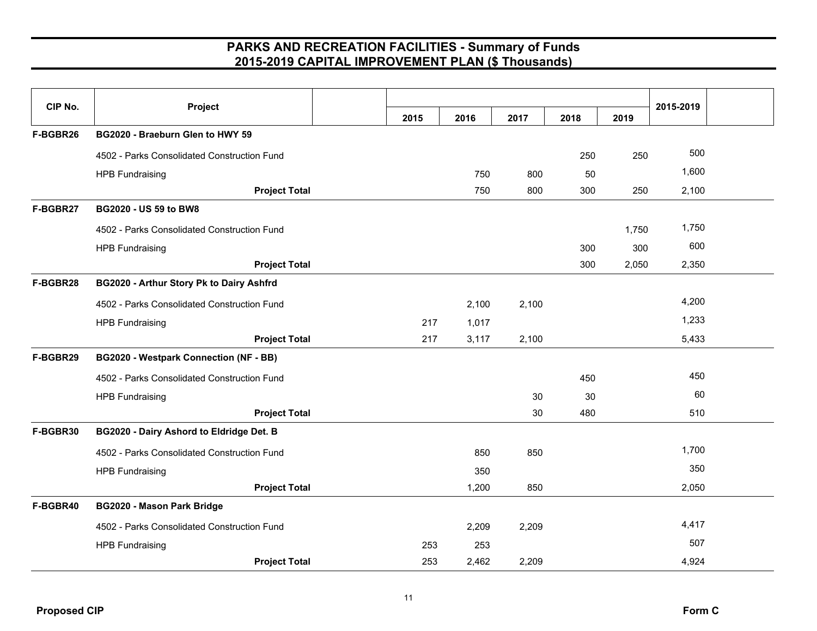| CIP No.  | Project                                     |      |       |       |      |       | 2015-2019 |  |
|----------|---------------------------------------------|------|-------|-------|------|-------|-----------|--|
|          |                                             | 2015 | 2016  | 2017  | 2018 | 2019  |           |  |
| F-BGBR26 | BG2020 - Braeburn Glen to HWY 59            |      |       |       |      |       |           |  |
|          | 4502 - Parks Consolidated Construction Fund |      |       |       | 250  | 250   | 500       |  |
|          | <b>HPB Fundraising</b>                      |      | 750   | 800   | 50   |       | 1,600     |  |
|          | <b>Project Total</b>                        |      | 750   | 800   | 300  | 250   | 2,100     |  |
| F-BGBR27 | <b>BG2020 - US 59 to BW8</b>                |      |       |       |      |       |           |  |
|          | 4502 - Parks Consolidated Construction Fund |      |       |       |      | 1,750 | 1,750     |  |
|          | <b>HPB Fundraising</b>                      |      |       |       | 300  | 300   | 600       |  |
|          | <b>Project Total</b>                        |      |       |       | 300  | 2,050 | 2,350     |  |
| F-BGBR28 | BG2020 - Arthur Story Pk to Dairy Ashfrd    |      |       |       |      |       |           |  |
|          | 4502 - Parks Consolidated Construction Fund |      | 2,100 | 2,100 |      |       | 4,200     |  |
|          | <b>HPB Fundraising</b>                      | 217  | 1,017 |       |      |       | 1,233     |  |
|          | <b>Project Total</b>                        | 217  | 3,117 | 2,100 |      |       | 5,433     |  |
| F-BGBR29 | BG2020 - Westpark Connection (NF - BB)      |      |       |       |      |       |           |  |
|          | 4502 - Parks Consolidated Construction Fund |      |       |       | 450  |       | 450       |  |
|          | <b>HPB Fundraising</b>                      |      |       | 30    | 30   |       | 60        |  |
|          | <b>Project Total</b>                        |      |       | 30    | 480  |       | 510       |  |
| F-BGBR30 | BG2020 - Dairy Ashord to Eldridge Det. B    |      |       |       |      |       |           |  |
|          | 4502 - Parks Consolidated Construction Fund |      | 850   | 850   |      |       | 1,700     |  |
|          | <b>HPB Fundraising</b>                      |      | 350   |       |      |       | 350       |  |
|          | <b>Project Total</b>                        |      | 1,200 | 850   |      |       | 2,050     |  |
| F-BGBR40 | <b>BG2020 - Mason Park Bridge</b>           |      |       |       |      |       |           |  |
|          | 4502 - Parks Consolidated Construction Fund |      | 2,209 | 2,209 |      |       | 4,417     |  |
|          | <b>HPB Fundraising</b>                      | 253  | 253   |       |      |       | 507       |  |
|          | <b>Project Total</b>                        | 253  | 2,462 | 2,209 |      |       | 4,924     |  |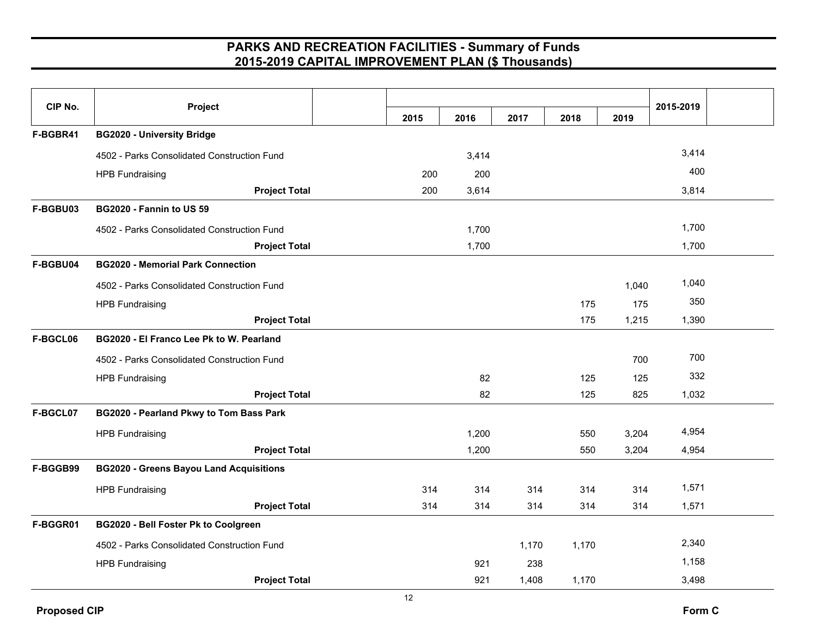| CIP No.  | Project                                        |      |       |       |       |       | 2015-2019 |  |
|----------|------------------------------------------------|------|-------|-------|-------|-------|-----------|--|
|          |                                                | 2015 | 2016  | 2017  | 2018  | 2019  |           |  |
| F-BGBR41 | <b>BG2020 - University Bridge</b>              |      |       |       |       |       |           |  |
|          | 4502 - Parks Consolidated Construction Fund    |      | 3,414 |       |       |       | 3,414     |  |
|          | <b>HPB Fundraising</b>                         | 200  | 200   |       |       |       | 400       |  |
|          | <b>Project Total</b>                           | 200  | 3,614 |       |       |       | 3,814     |  |
| F-BGBU03 | BG2020 - Fannin to US 59                       |      |       |       |       |       |           |  |
|          | 4502 - Parks Consolidated Construction Fund    |      | 1,700 |       |       |       | 1,700     |  |
|          | <b>Project Total</b>                           |      | 1,700 |       |       |       | 1,700     |  |
| F-BGBU04 | <b>BG2020 - Memorial Park Connection</b>       |      |       |       |       |       |           |  |
|          | 4502 - Parks Consolidated Construction Fund    |      |       |       |       | 1,040 | 1,040     |  |
|          | <b>HPB Fundraising</b>                         |      |       |       | 175   | 175   | 350       |  |
|          | <b>Project Total</b>                           |      |       |       | 175   | 1,215 | 1,390     |  |
| F-BGCL06 | BG2020 - El Franco Lee Pk to W. Pearland       |      |       |       |       |       |           |  |
|          | 4502 - Parks Consolidated Construction Fund    |      |       |       |       | 700   | 700       |  |
|          | <b>HPB Fundraising</b>                         |      | 82    |       | 125   | 125   | 332       |  |
|          | <b>Project Total</b>                           |      | 82    |       | 125   | 825   | 1,032     |  |
| F-BGCL07 | BG2020 - Pearland Pkwy to Tom Bass Park        |      |       |       |       |       |           |  |
|          | <b>HPB Fundraising</b>                         |      | 1,200 |       | 550   | 3,204 | 4,954     |  |
|          | <b>Project Total</b>                           |      | 1,200 |       | 550   | 3,204 | 4,954     |  |
| F-BGGB99 | <b>BG2020 - Greens Bayou Land Acquisitions</b> |      |       |       |       |       |           |  |
|          | <b>HPB Fundraising</b>                         | 314  | 314   | 314   | 314   | 314   | 1,571     |  |
|          | <b>Project Total</b>                           | 314  | 314   | 314   | 314   | 314   | 1,571     |  |
| F-BGGR01 | BG2020 - Bell Foster Pk to Coolgreen           |      |       |       |       |       |           |  |
|          | 4502 - Parks Consolidated Construction Fund    |      |       | 1,170 | 1,170 |       | 2,340     |  |
|          | <b>HPB Fundraising</b>                         |      | 921   | 238   |       |       | 1,158     |  |
|          | <b>Project Total</b>                           |      | 921   | 1,408 | 1,170 |       | 3,498     |  |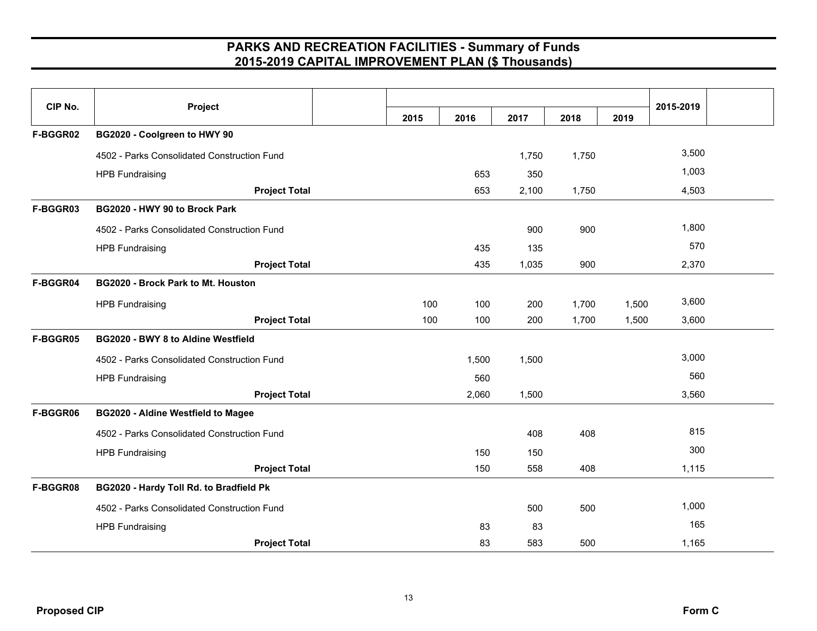| CIP No.  | Project                                     | 2015 | 2016  | 2017  | 2018  | 2019  | 2015-2019 |  |
|----------|---------------------------------------------|------|-------|-------|-------|-------|-----------|--|
| F-BGGR02 | BG2020 - Coolgreen to HWY 90                |      |       |       |       |       |           |  |
|          | 4502 - Parks Consolidated Construction Fund |      |       | 1,750 | 1,750 |       | 3,500     |  |
|          | <b>HPB Fundraising</b>                      |      | 653   | 350   |       |       | 1,003     |  |
|          | <b>Project Total</b>                        |      | 653   | 2,100 | 1,750 |       | 4,503     |  |
| F-BGGR03 | BG2020 - HWY 90 to Brock Park               |      |       |       |       |       |           |  |
|          | 4502 - Parks Consolidated Construction Fund |      |       | 900   | 900   |       | 1,800     |  |
|          | <b>HPB Fundraising</b>                      |      | 435   | 135   |       |       | 570       |  |
|          | <b>Project Total</b>                        |      | 435   | 1,035 | 900   |       | 2,370     |  |
| F-BGGR04 | <b>BG2020 - Brock Park to Mt. Houston</b>   |      |       |       |       |       |           |  |
|          | <b>HPB Fundraising</b>                      | 100  | 100   | 200   | 1,700 | 1,500 | 3,600     |  |
|          | <b>Project Total</b>                        | 100  | 100   | 200   | 1,700 | 1,500 | 3,600     |  |
| F-BGGR05 | BG2020 - BWY 8 to Aldine Westfield          |      |       |       |       |       |           |  |
|          | 4502 - Parks Consolidated Construction Fund |      | 1,500 | 1,500 |       |       | 3,000     |  |
|          | <b>HPB Fundraising</b>                      |      | 560   |       |       |       | 560       |  |
|          | <b>Project Total</b>                        |      | 2,060 | 1,500 |       |       | 3,560     |  |
| F-BGGR06 | <b>BG2020 - Aldine Westfield to Magee</b>   |      |       |       |       |       |           |  |
|          | 4502 - Parks Consolidated Construction Fund |      |       | 408   | 408   |       | 815       |  |
|          | <b>HPB Fundraising</b>                      |      | 150   | 150   |       |       | 300       |  |
|          | <b>Project Total</b>                        |      | 150   | 558   | 408   |       | 1,115     |  |
| F-BGGR08 | BG2020 - Hardy Toll Rd. to Bradfield Pk     |      |       |       |       |       |           |  |
|          | 4502 - Parks Consolidated Construction Fund |      |       | 500   | 500   |       | 1,000     |  |
|          | <b>HPB Fundraising</b>                      |      | 83    | 83    |       |       | 165       |  |
|          | <b>Project Total</b>                        |      | 83    | 583   | 500   |       | 1,165     |  |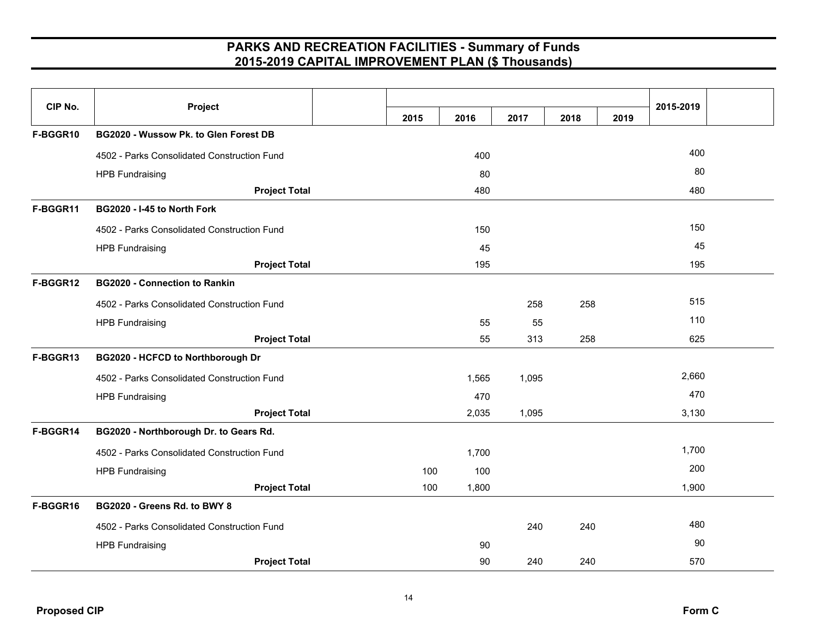| CIP No.  | Project                                     |      |       |       |      |      | 2015-2019 |  |
|----------|---------------------------------------------|------|-------|-------|------|------|-----------|--|
|          |                                             | 2015 | 2016  | 2017  | 2018 | 2019 |           |  |
| F-BGGR10 | BG2020 - Wussow Pk. to Glen Forest DB       |      |       |       |      |      |           |  |
|          | 4502 - Parks Consolidated Construction Fund |      | 400   |       |      |      | 400       |  |
|          | <b>HPB Fundraising</b>                      |      | 80    |       |      |      | 80        |  |
|          | <b>Project Total</b>                        |      | 480   |       |      |      | 480       |  |
| F-BGGR11 | BG2020 - I-45 to North Fork                 |      |       |       |      |      |           |  |
|          | 4502 - Parks Consolidated Construction Fund |      | 150   |       |      |      | 150       |  |
|          | <b>HPB Fundraising</b>                      |      | 45    |       |      |      | 45        |  |
|          | <b>Project Total</b>                        |      | 195   |       |      |      | 195       |  |
| F-BGGR12 | <b>BG2020 - Connection to Rankin</b>        |      |       |       |      |      |           |  |
|          | 4502 - Parks Consolidated Construction Fund |      |       | 258   | 258  |      | 515       |  |
|          | <b>HPB Fundraising</b>                      |      | 55    | 55    |      |      | 110       |  |
|          | <b>Project Total</b>                        |      | 55    | 313   | 258  |      | 625       |  |
| F-BGGR13 | BG2020 - HCFCD to Northborough Dr           |      |       |       |      |      |           |  |
|          | 4502 - Parks Consolidated Construction Fund |      | 1,565 | 1,095 |      |      | 2,660     |  |
|          | <b>HPB Fundraising</b>                      |      | 470   |       |      |      | 470       |  |
|          | <b>Project Total</b>                        |      | 2,035 | 1,095 |      |      | 3,130     |  |
| F-BGGR14 | BG2020 - Northborough Dr. to Gears Rd.      |      |       |       |      |      |           |  |
|          | 4502 - Parks Consolidated Construction Fund |      | 1,700 |       |      |      | 1,700     |  |
|          | <b>HPB Fundraising</b>                      | 100  | 100   |       |      |      | 200       |  |
|          | <b>Project Total</b>                        | 100  | 1,800 |       |      |      | 1,900     |  |
| F-BGGR16 | BG2020 - Greens Rd. to BWY 8                |      |       |       |      |      |           |  |
|          | 4502 - Parks Consolidated Construction Fund |      |       | 240   | 240  |      | 480       |  |
|          | <b>HPB Fundraising</b>                      |      | 90    |       |      |      | 90        |  |
|          | <b>Project Total</b>                        |      | 90    | 240   | 240  |      | 570       |  |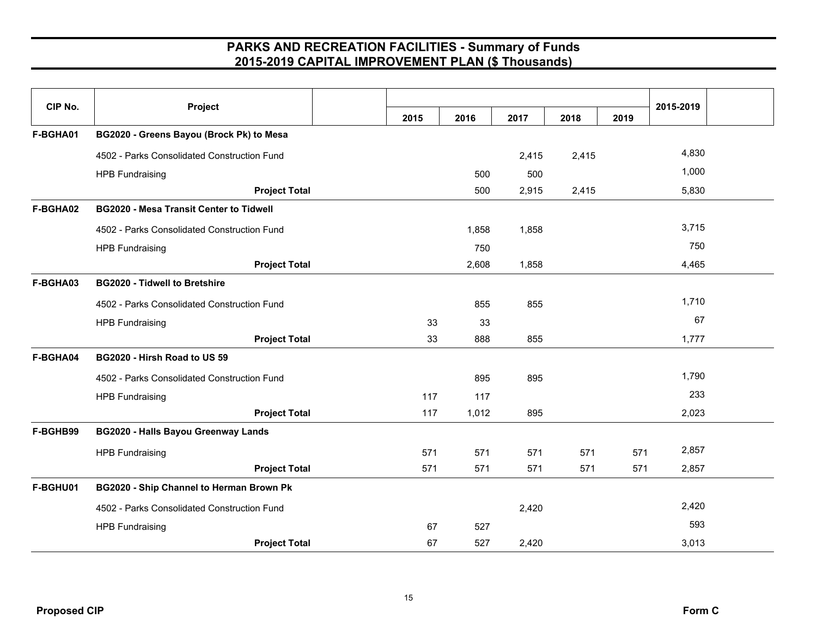| CIP No.  | Project                                        |      |       |       |       |      | 2015-2019 |  |
|----------|------------------------------------------------|------|-------|-------|-------|------|-----------|--|
|          |                                                | 2015 | 2016  | 2017  | 2018  | 2019 |           |  |
| F-BGHA01 | BG2020 - Greens Bayou (Brock Pk) to Mesa       |      |       |       |       |      |           |  |
|          | 4502 - Parks Consolidated Construction Fund    |      |       | 2,415 | 2,415 |      | 4,830     |  |
|          | <b>HPB Fundraising</b>                         |      | 500   | 500   |       |      | 1,000     |  |
|          | <b>Project Total</b>                           |      | 500   | 2,915 | 2,415 |      | 5,830     |  |
| F-BGHA02 | <b>BG2020 - Mesa Transit Center to Tidwell</b> |      |       |       |       |      |           |  |
|          | 4502 - Parks Consolidated Construction Fund    |      | 1,858 | 1,858 |       |      | 3,715     |  |
|          | <b>HPB Fundraising</b>                         |      | 750   |       |       |      | 750       |  |
|          | <b>Project Total</b>                           |      | 2,608 | 1,858 |       |      | 4,465     |  |
| F-BGHA03 | <b>BG2020 - Tidwell to Bretshire</b>           |      |       |       |       |      |           |  |
|          | 4502 - Parks Consolidated Construction Fund    |      | 855   | 855   |       |      | 1,710     |  |
|          | <b>HPB Fundraising</b>                         | 33   | 33    |       |       |      | 67        |  |
|          | <b>Project Total</b>                           | 33   | 888   | 855   |       |      | 1,777     |  |
| F-BGHA04 | BG2020 - Hirsh Road to US 59                   |      |       |       |       |      |           |  |
|          | 4502 - Parks Consolidated Construction Fund    |      | 895   | 895   |       |      | 1,790     |  |
|          | <b>HPB Fundraising</b>                         | 117  | 117   |       |       |      | 233       |  |
|          | <b>Project Total</b>                           | 117  | 1,012 | 895   |       |      | 2,023     |  |
| F-BGHB99 | <b>BG2020 - Halls Bayou Greenway Lands</b>     |      |       |       |       |      |           |  |
|          | <b>HPB Fundraising</b>                         | 571  | 571   | 571   | 571   | 571  | 2,857     |  |
|          | <b>Project Total</b>                           | 571  | 571   | 571   | 571   | 571  | 2,857     |  |
| F-BGHU01 | BG2020 - Ship Channel to Herman Brown Pk       |      |       |       |       |      |           |  |
|          | 4502 - Parks Consolidated Construction Fund    |      |       | 2,420 |       |      | 2,420     |  |
|          | <b>HPB Fundraising</b>                         | 67   | 527   |       |       |      | 593       |  |
|          | <b>Project Total</b>                           | 67   | 527   | 2,420 |       |      | 3,013     |  |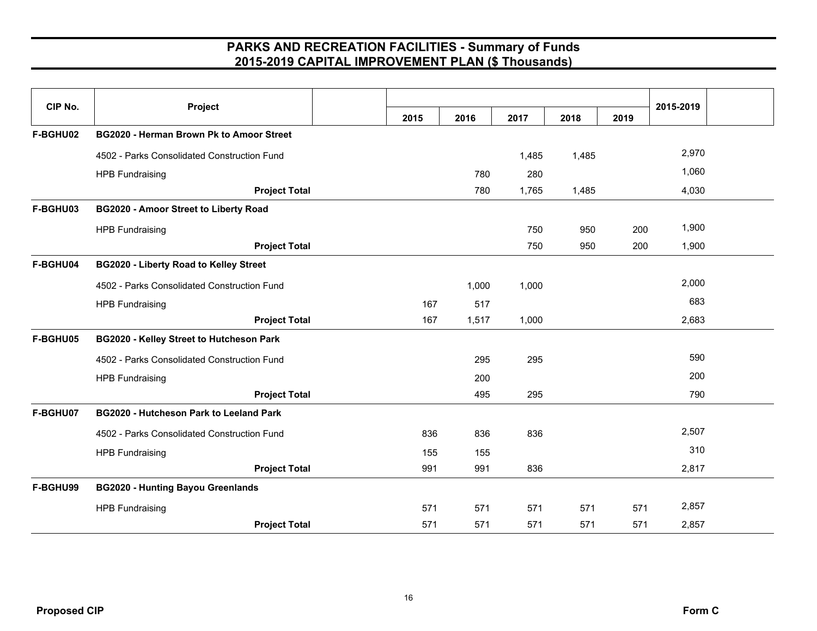| CIP No.  | Project                                        |      |       |       |       |      | 2015-2019 |  |
|----------|------------------------------------------------|------|-------|-------|-------|------|-----------|--|
|          |                                                | 2015 | 2016  | 2017  | 2018  | 2019 |           |  |
| F-BGHU02 | BG2020 - Herman Brown Pk to Amoor Street       |      |       |       |       |      |           |  |
|          | 4502 - Parks Consolidated Construction Fund    |      |       | 1,485 | 1,485 |      | 2,970     |  |
|          | <b>HPB Fundraising</b>                         |      | 780   | 280   |       |      | 1,060     |  |
|          | <b>Project Total</b>                           |      | 780   | 1,765 | 1,485 |      | 4,030     |  |
| F-BGHU03 | BG2020 - Amoor Street to Liberty Road          |      |       |       |       |      |           |  |
|          | <b>HPB Fundraising</b>                         |      |       | 750   | 950   | 200  | 1,900     |  |
|          | <b>Project Total</b>                           |      |       | 750   | 950   | 200  | 1,900     |  |
| F-BGHU04 | <b>BG2020 - Liberty Road to Kelley Street</b>  |      |       |       |       |      |           |  |
|          | 4502 - Parks Consolidated Construction Fund    |      | 1,000 | 1,000 |       |      | 2,000     |  |
|          | <b>HPB Fundraising</b>                         | 167  | 517   |       |       |      | 683       |  |
|          | <b>Project Total</b>                           | 167  | 1,517 | 1,000 |       |      | 2,683     |  |
| F-BGHU05 | BG2020 - Kelley Street to Hutcheson Park       |      |       |       |       |      |           |  |
|          | 4502 - Parks Consolidated Construction Fund    |      | 295   | 295   |       |      | 590       |  |
|          | <b>HPB Fundraising</b>                         |      | 200   |       |       |      | 200       |  |
|          | <b>Project Total</b>                           |      | 495   | 295   |       |      | 790       |  |
| F-BGHU07 | <b>BG2020 - Hutcheson Park to Leeland Park</b> |      |       |       |       |      |           |  |
|          | 4502 - Parks Consolidated Construction Fund    | 836  | 836   | 836   |       |      | 2,507     |  |
|          | <b>HPB Fundraising</b>                         | 155  | 155   |       |       |      | 310       |  |
|          | <b>Project Total</b>                           | 991  | 991   | 836   |       |      | 2,817     |  |
| F-BGHU99 | <b>BG2020 - Hunting Bayou Greenlands</b>       |      |       |       |       |      |           |  |
|          | <b>HPB Fundraising</b>                         | 571  | 571   | 571   | 571   | 571  | 2,857     |  |
|          | <b>Project Total</b>                           | 571  | 571   | 571   | 571   | 571  | 2,857     |  |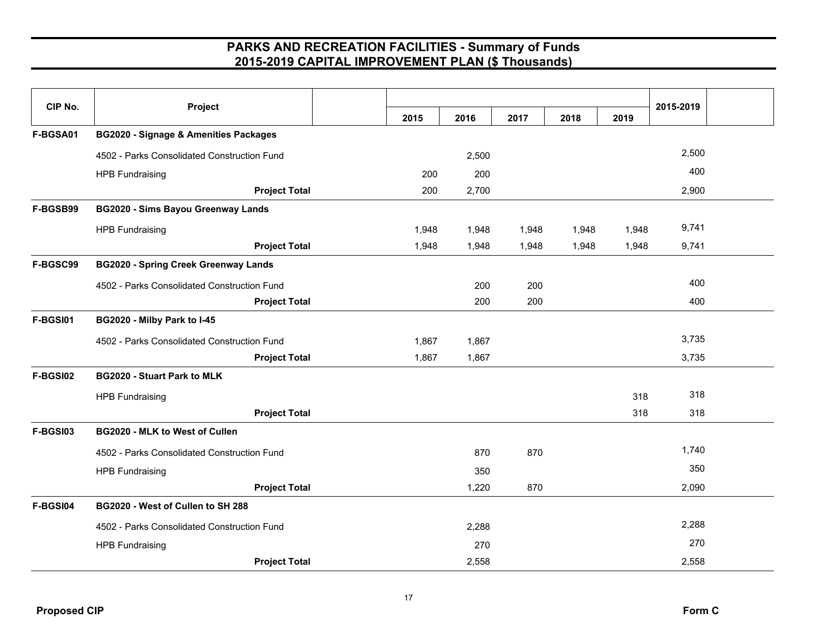|                 | Project                                          |       |       |       |       |       |           |  |
|-----------------|--------------------------------------------------|-------|-------|-------|-------|-------|-----------|--|
| CIP No.         |                                                  | 2015  | 2016  | 2017  | 2018  | 2019  | 2015-2019 |  |
| F-BGSA01        | <b>BG2020 - Signage &amp; Amenities Packages</b> |       |       |       |       |       |           |  |
|                 | 4502 - Parks Consolidated Construction Fund      |       | 2,500 |       |       |       | 2,500     |  |
|                 | <b>HPB Fundraising</b>                           | 200   | 200   |       |       |       | 400       |  |
|                 | <b>Project Total</b>                             | 200   | 2,700 |       |       |       | 2,900     |  |
| F-BGSB99        | <b>BG2020 - Sims Bayou Greenway Lands</b>        |       |       |       |       |       |           |  |
|                 | <b>HPB Fundraising</b>                           | 1,948 | 1,948 | 1,948 | 1,948 | 1,948 | 9,741     |  |
|                 | <b>Project Total</b>                             | 1,948 | 1,948 | 1,948 | 1,948 | 1,948 | 9,741     |  |
| F-BGSC99        | <b>BG2020 - Spring Creek Greenway Lands</b>      |       |       |       |       |       |           |  |
|                 | 4502 - Parks Consolidated Construction Fund      |       | 200   | 200   |       |       | 400       |  |
|                 | <b>Project Total</b>                             |       | 200   | 200   |       |       | 400       |  |
| F-BGSI01        | BG2020 - Milby Park to I-45                      |       |       |       |       |       |           |  |
|                 | 4502 - Parks Consolidated Construction Fund      | 1,867 | 1,867 |       |       |       | 3,735     |  |
|                 | <b>Project Total</b>                             | 1,867 | 1,867 |       |       |       | 3,735     |  |
| <b>F-BGSI02</b> | <b>BG2020 - Stuart Park to MLK</b>               |       |       |       |       |       |           |  |
|                 | <b>HPB Fundraising</b>                           |       |       |       |       | 318   | 318       |  |
|                 | <b>Project Total</b>                             |       |       |       |       | 318   | 318       |  |
| <b>F-BGSI03</b> | BG2020 - MLK to West of Cullen                   |       |       |       |       |       |           |  |
|                 | 4502 - Parks Consolidated Construction Fund      |       | 870   | 870   |       |       | 1,740     |  |
|                 | <b>HPB Fundraising</b>                           |       | 350   |       |       |       | 350       |  |
|                 | <b>Project Total</b>                             |       | 1,220 | 870   |       |       | 2,090     |  |
| F-BGSI04        | BG2020 - West of Cullen to SH 288                |       |       |       |       |       |           |  |
|                 | 4502 - Parks Consolidated Construction Fund      |       | 2,288 |       |       |       | 2,288     |  |
|                 | <b>HPB Fundraising</b>                           |       | 270   |       |       |       | 270       |  |
|                 | <b>Project Total</b>                             |       | 2,558 |       |       |       | 2,558     |  |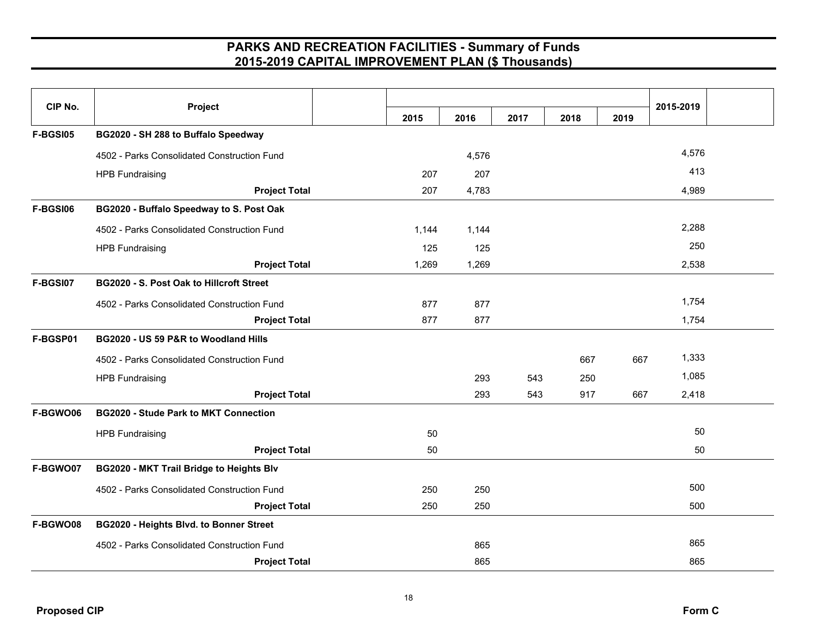| CIP No.         | Project                                         | 2015  | 2016  | 2017 | 2018 | 2019 | 2015-2019 |  |
|-----------------|-------------------------------------------------|-------|-------|------|------|------|-----------|--|
| <b>F-BGSI05</b> | BG2020 - SH 288 to Buffalo Speedway             |       |       |      |      |      |           |  |
|                 | 4502 - Parks Consolidated Construction Fund     |       | 4,576 |      |      |      | 4,576     |  |
|                 | <b>HPB Fundraising</b>                          | 207   | 207   |      |      |      | 413       |  |
|                 | <b>Project Total</b>                            | 207   | 4,783 |      |      |      | 4,989     |  |
| <b>F-BGSI06</b> | BG2020 - Buffalo Speedway to S. Post Oak        |       |       |      |      |      |           |  |
|                 | 4502 - Parks Consolidated Construction Fund     | 1,144 | 1,144 |      |      |      | 2,288     |  |
|                 | <b>HPB Fundraising</b>                          | 125   | 125   |      |      |      | 250       |  |
|                 | <b>Project Total</b>                            | 1,269 | 1,269 |      |      |      | 2,538     |  |
| F-BGSI07        | <b>BG2020 - S. Post Oak to Hillcroft Street</b> |       |       |      |      |      |           |  |
|                 | 4502 - Parks Consolidated Construction Fund     | 877   | 877   |      |      |      | 1,754     |  |
|                 | <b>Project Total</b>                            | 877   | 877   |      |      |      | 1,754     |  |
| F-BGSP01        | BG2020 - US 59 P&R to Woodland Hills            |       |       |      |      |      |           |  |
|                 | 4502 - Parks Consolidated Construction Fund     |       |       |      | 667  | 667  | 1,333     |  |
|                 | <b>HPB Fundraising</b>                          |       | 293   | 543  | 250  |      | 1,085     |  |
|                 | <b>Project Total</b>                            |       | 293   | 543  | 917  | 667  | 2,418     |  |
| F-BGWO06        | <b>BG2020 - Stude Park to MKT Connection</b>    |       |       |      |      |      |           |  |
|                 | <b>HPB Fundraising</b>                          | 50    |       |      |      |      | 50        |  |
|                 | <b>Project Total</b>                            | 50    |       |      |      |      | 50        |  |
| F-BGWO07        | BG2020 - MKT Trail Bridge to Heights Blv        |       |       |      |      |      |           |  |
|                 | 4502 - Parks Consolidated Construction Fund     | 250   | 250   |      |      |      | 500       |  |
|                 | <b>Project Total</b>                            | 250   | 250   |      |      |      | 500       |  |
| F-BGWO08        | BG2020 - Heights Blvd. to Bonner Street         |       |       |      |      |      |           |  |
|                 | 4502 - Parks Consolidated Construction Fund     |       | 865   |      |      |      | 865       |  |
|                 | <b>Project Total</b>                            |       | 865   |      |      |      | 865       |  |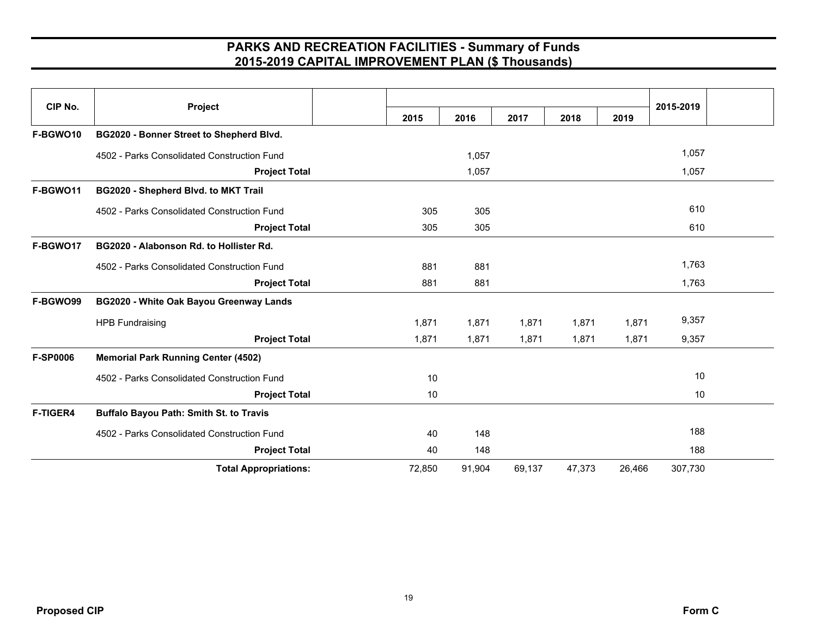| CIP No.         | Project                                     |        |        |        |        |        | 2015-2019 |  |
|-----------------|---------------------------------------------|--------|--------|--------|--------|--------|-----------|--|
|                 |                                             | 2015   | 2016   | 2017   | 2018   | 2019   |           |  |
| F-BGWO10        | BG2020 - Bonner Street to Shepherd Blvd.    |        |        |        |        |        |           |  |
|                 | 4502 - Parks Consolidated Construction Fund |        | 1,057  |        |        |        | 1,057     |  |
|                 | <b>Project Total</b>                        |        | 1,057  |        |        |        | 1,057     |  |
| F-BGWO11        | BG2020 - Shepherd Blvd. to MKT Trail        |        |        |        |        |        |           |  |
|                 | 4502 - Parks Consolidated Construction Fund | 305    | 305    |        |        |        | 610       |  |
|                 | <b>Project Total</b>                        | 305    | 305    |        |        |        | 610       |  |
| F-BGWO17        | BG2020 - Alabonson Rd. to Hollister Rd.     |        |        |        |        |        |           |  |
|                 | 4502 - Parks Consolidated Construction Fund | 881    | 881    |        |        |        | 1,763     |  |
|                 | <b>Project Total</b>                        | 881    | 881    |        |        |        | 1,763     |  |
| F-BGWO99        | BG2020 - White Oak Bayou Greenway Lands     |        |        |        |        |        |           |  |
|                 | <b>HPB Fundraising</b>                      | 1,871  | 1,871  | 1,871  | 1,871  | 1,871  | 9,357     |  |
|                 | <b>Project Total</b>                        | 1,871  | 1,871  | 1,871  | 1,871  | 1,871  | 9,357     |  |
| <b>F-SP0006</b> | <b>Memorial Park Running Center (4502)</b>  |        |        |        |        |        |           |  |
|                 | 4502 - Parks Consolidated Construction Fund | 10     |        |        |        |        | 10        |  |
|                 | <b>Project Total</b>                        | 10     |        |        |        |        | 10        |  |
| <b>F-TIGER4</b> | Buffalo Bayou Path: Smith St. to Travis     |        |        |        |        |        |           |  |
|                 | 4502 - Parks Consolidated Construction Fund | 40     | 148    |        |        |        | 188       |  |
|                 | <b>Project Total</b>                        | 40     | 148    |        |        |        | 188       |  |
|                 | <b>Total Appropriations:</b>                | 72,850 | 91,904 | 69,137 | 47,373 | 26,466 | 307,730   |  |